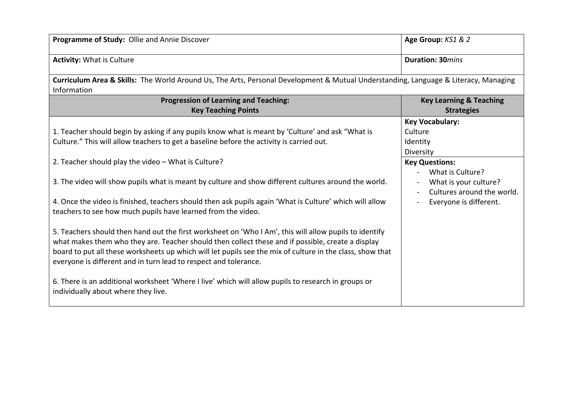| Programme of Study: Ollie and Annie Discover                                                                                                                                                                                                                                                                                                                                                 | Age Group: KS1 & 2                                         |  |  |
|----------------------------------------------------------------------------------------------------------------------------------------------------------------------------------------------------------------------------------------------------------------------------------------------------------------------------------------------------------------------------------------------|------------------------------------------------------------|--|--|
| <b>Activity: What is Culture</b>                                                                                                                                                                                                                                                                                                                                                             | <b>Duration: 30</b> mins                                   |  |  |
| Curriculum Area & Skills: The World Around Us, The Arts, Personal Development & Mutual Understanding, Language & Literacy, Managing<br>Information                                                                                                                                                                                                                                           |                                                            |  |  |
| <b>Progression of Learning and Teaching:</b>                                                                                                                                                                                                                                                                                                                                                 | <b>Key Learning &amp; Teaching</b>                         |  |  |
| <b>Key Teaching Points</b>                                                                                                                                                                                                                                                                                                                                                                   | <b>Strategies</b>                                          |  |  |
| 1. Teacher should begin by asking if any pupils know what is meant by 'Culture' and ask "What is<br>Culture." This will allow teachers to get a baseline before the activity is carried out.                                                                                                                                                                                                 | <b>Key Vocabulary:</b><br>Culture<br>Identity<br>Diversity |  |  |
| 2. Teacher should play the video – What is Culture?                                                                                                                                                                                                                                                                                                                                          | <b>Key Questions:</b><br>What is Culture?                  |  |  |
| 3. The video will show pupils what is meant by culture and show different cultures around the world.                                                                                                                                                                                                                                                                                         | What is your culture?<br>Cultures around the world.        |  |  |
| 4. Once the video is finished, teachers should then ask pupils again 'What is Culture' which will allow<br>teachers to see how much pupils have learned from the video.                                                                                                                                                                                                                      | Everyone is different.                                     |  |  |
| 5. Teachers should then hand out the first worksheet on 'Who I Am', this will allow pupils to identify<br>what makes them who they are. Teacher should then collect these and if possible, create a display<br>board to put all these worksheets up which will let pupils see the mix of culture in the class, show that<br>everyone is different and in turn lead to respect and tolerance. |                                                            |  |  |
| 6. There is an additional worksheet 'Where I live' which will allow pupils to research in groups or<br>individually about where they live.                                                                                                                                                                                                                                                   |                                                            |  |  |